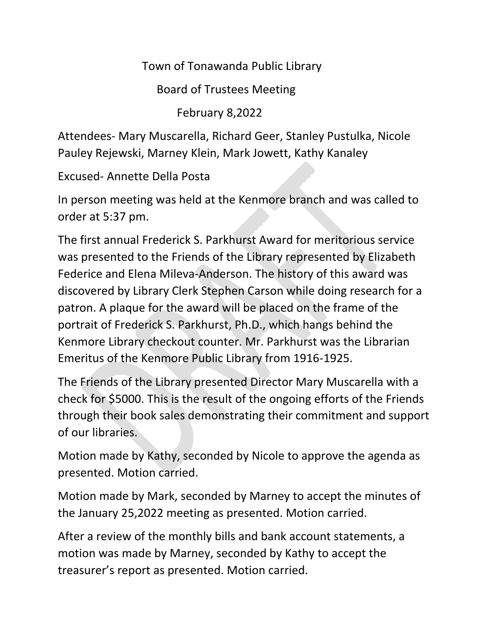Town of Tonawanda Public Library

Board of Trustees Meeting

February 8,2022

Attendees- Mary Muscarella, Richard Geer, Stanley Pustulka, Nicole Pauley Rejewski, Marney Klein, Mark Jowett, Kathy Kanaley

Excused- Annette Della Posta

In person meeting was held at the Kenmore branch and was called to order at 5:37 pm.

The first annual Frederick S. Parkhurst Award for meritorious service was presented to the Friends of the Library represented by Elizabeth Federice and Elena Mileva-Anderson. The history of this award was discovered by Library Clerk Stephen Carson while doing research for a patron. A plaque for the award will be placed on the frame of the portrait of Frederick S. Parkhurst, Ph.D., which hangs behind the Kenmore Library checkout counter. Mr. Parkhurst was the Librarian Emeritus of the Kenmore Public Library from 1916-1925.

The Friends of the Library presented Director Mary Muscarella with a check for \$5000. This is the result of the ongoing efforts of the Friends through their book sales demonstrating their commitment and support of our libraries.

Motion made by Kathy, seconded by Nicole to approve the agenda as presented. Motion carried.

Motion made by Mark, seconded by Marney to accept the minutes of the January 25,2022 meeting as presented. Motion carried.

After a review of the monthly bills and bank account statements, a motion was made by Marney, seconded by Kathy to accept the treasurer's report as presented. Motion carried.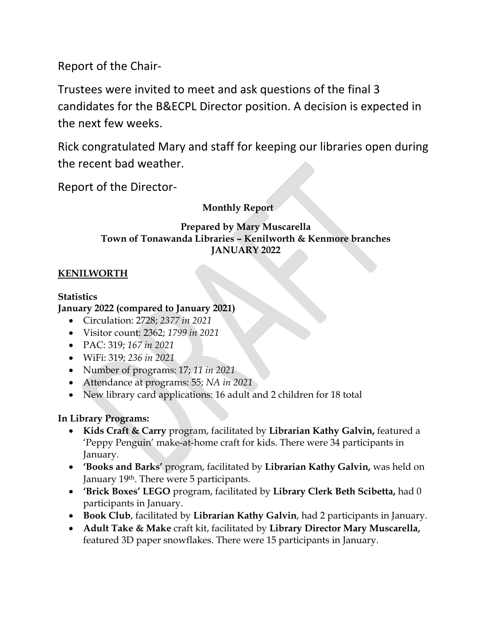Report of the Chair-

Trustees were invited to meet and ask questions of the final 3 candidates for the B&ECPL Director position. A decision is expected in the next few weeks.

Rick congratulated Mary and staff for keeping our libraries open during the recent bad weather.

Report of the Director-

# **Monthly Report**

## **Prepared by Mary Muscarella Town of Tonawanda Libraries – Kenilworth & Kenmore branches JANUARY 2022**

# **KENILWORTH**

## **Statistics**

## **January 2022 (compared to January 2021)**

- Circulation: 2728; *2377 in 2021*
- Visitor count: 2362; *1799 in 2021*
- PAC: 319; *167 in 2021*
- WiFi: 319; *236 in 2021*
- Number of programs: 17; *11 in 2021*
- Attendance at programs: 55; *NA in 2021*
- New library card applications: 16 adult and 2 children for 18 total

# **In Library Programs:**

- **Kids Craft & Carry** program, facilitated by **Librarian Kathy Galvin,** featured a 'Peppy Penguin' make-at-home craft for kids. There were 34 participants in January.
- **'Books and Barks'** program, facilitated by **Librarian Kathy Galvin,** was held on January 19<sup>th</sup>. There were 5 participants.
- **'Brick Boxes' LEGO** program, facilitated by **Library Clerk Beth Scibetta,** had 0 participants in January.
- **Book Club**, facilitated by **Librarian Kathy Galvin**, had 2 participants in January.
- **Adult Take & Make** craft kit, facilitated by **Library Director Mary Muscarella,**  featured 3D paper snowflakes. There were 15 participants in January.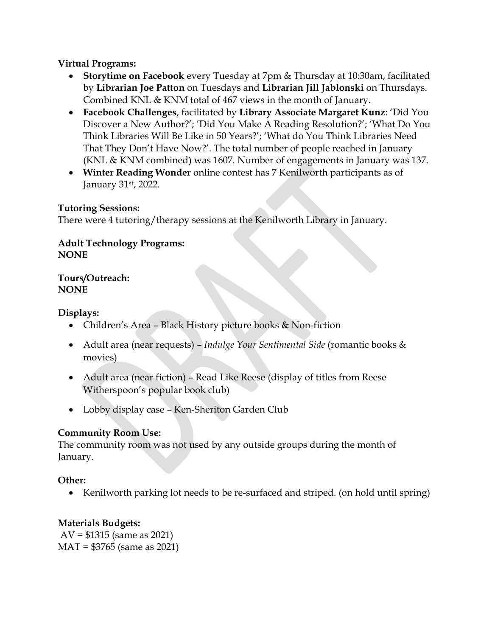### **Virtual Programs:**

- **Storytime on Facebook** every Tuesday at 7pm & Thursday at 10:30am, facilitated by **Librarian Joe Patton** on Tuesdays and **Librarian Jill Jablonski** on Thursdays. Combined KNL & KNM total of 467 views in the month of January.
- **Facebook Challenges**, facilitated by **Library Associate Margaret Kunz**: 'Did You Discover a New Author?'; 'Did You Make A Reading Resolution?'; 'What Do You Think Libraries Will Be Like in 50 Years?'; 'What do You Think Libraries Need That They Don't Have Now?'. The total number of people reached in January (KNL & KNM combined) was 1607. Number of engagements in January was 137.
- **Winter Reading Wonder** online contest has 7 Kenilworth participants as of January 31st, 2022.

#### **Tutoring Sessions:**

There were 4 tutoring/therapy sessions at the Kenilworth Library in January.

#### **Adult Technology Programs: NONE**

**Tours/Outreach: NONE**

#### **Displays:**

- Children's Area Black History picture books & Non-fiction
- Adult area (near requests) *Indulge Your Sentimental Side* (romantic books & movies)
- Adult area (near fiction) Read Like Reese (display of titles from Reese Witherspoon's popular book club)
- Lobby display case Ken-Sheriton Garden Club

### **Community Room Use:**

The community room was not used by any outside groups during the month of January.

### **Other:**

• Kenilworth parking lot needs to be re-surfaced and striped. (on hold until spring)

### **Materials Budgets:**

AV = \$1315 (same as 2021) MAT = \$3765 (same as 2021)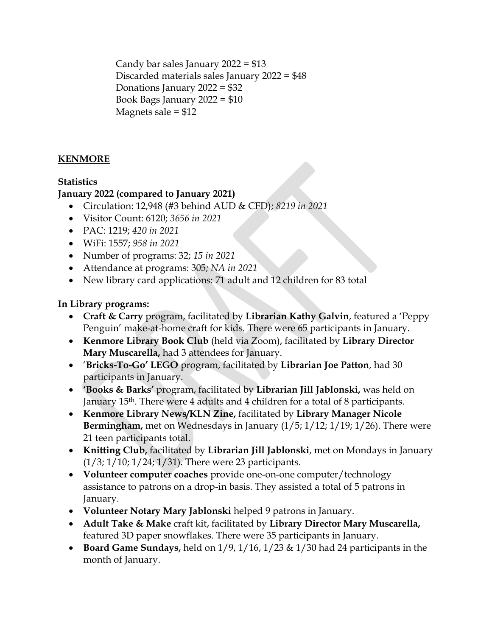Candy bar sales January 2022 = \$13 Discarded materials sales January 2022 = \$48 Donations January 2022 = \$32 Book Bags January 2022 = \$10 Magnets sale = \$12

## **KENMORE**

### **Statistics**

### **January 2022 (compared to January 2021)**

- Circulation: 12,948 (#3 behind AUD & CFD); *8219 in 2021*
- Visitor Count: 6120; *3656 in 2021*
- PAC: 1219; *420 in 2021*
- WiFi: 1557; *958 in 2021*
- Number of programs: 32; *15 in 2021*
- Attendance at programs: 305*; NA in 2021*
- New library card applications: 71 adult and 12 children for 83 total

#### **In Library programs:**

- **Craft & Carry** program, facilitated by **Librarian Kathy Galvin**, featured a 'Peppy Penguin' make-at-home craft for kids. There were 65 participants in January.
- **Kenmore Library Book Club** (held via Zoom), facilitated by **Library Director Mary Muscarella,** had 3 attendees for January.
- '**Bricks-To-Go' LEGO** program, facilitated by **Librarian Joe Patton**, had 30 participants in January.
- **'Books & Barks'** program, facilitated by **Librarian Jill Jablonski,** was held on January 15th. There were 4 adults and 4 children for a total of 8 participants.
- **Kenmore Library News/KLN Zine,** facilitated by **Library Manager Nicole Bermingham,** met on Wednesdays in January (1/5; 1/12; 1/19; 1/26). There were 21 teen participants total.
- **Knitting Club,** facilitated by **Librarian Jill Jablonski**, met on Mondays in January (1/3; 1/10; 1/24; 1/31). There were 23 participants.
- **Volunteer computer coaches** provide one-on-one computer/technology assistance to patrons on a drop-in basis. They assisted a total of 5 patrons in January.
- **Volunteer Notary Mary Jablonski** helped 9 patrons in January.
- **Adult Take & Make** craft kit, facilitated by **Library Director Mary Muscarella,** featured 3D paper snowflakes. There were 35 participants in January.
- **Board Game Sundays,** held on 1/9, 1/16, 1/23 & 1/30 had 24 participants in the month of January.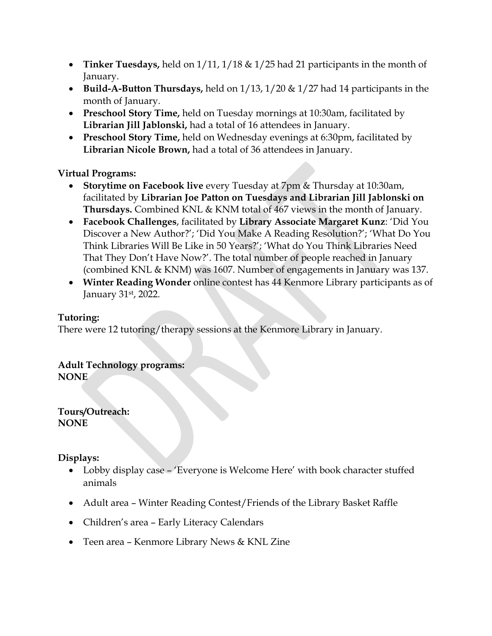- **Tinker Tuesdays,** held on 1/11, 1/18 & 1/25 had 21 participants in the month of January.
- **Build-A-Button Thursdays,** held on 1/13, 1/20 & 1/27 had 14 participants in the month of January.
- **Preschool Story Time,** held on Tuesday mornings at 10:30am, facilitated by **Librarian Jill Jablonski,** had a total of 16 attendees in January.
- **Preschool Story Time,** held on Wednesday evenings at 6:30pm, facilitated by **Librarian Nicole Brown,** had a total of 36 attendees in January.

### **Virtual Programs:**

- **Storytime on Facebook live** every Tuesday at 7pm & Thursday at 10:30am, facilitated by **Librarian Joe Patton on Tuesdays and Librarian Jill Jablonski on Thursdays.** Combined KNL & KNM total of 467 views in the month of January.
- **Facebook Challenges**, facilitated by **Library Associate Margaret Kunz**: 'Did You Discover a New Author?'; 'Did You Make A Reading Resolution?'; 'What Do You Think Libraries Will Be Like in 50 Years?'; 'What do You Think Libraries Need That They Don't Have Now?'. The total number of people reached in January (combined KNL & KNM) was 1607. Number of engagements in January was 137.
- **Winter Reading Wonder** online contest has 44 Kenmore Library participants as of January 31st, 2022.

### **Tutoring:**

There were 12 tutoring/therapy sessions at the Kenmore Library in January.

## **Adult Technology programs:**

**NONE**

**Tours/Outreach: NONE**

**Displays:**

- Lobby display case 'Everyone is Welcome Here' with book character stuffed animals
- Adult area Winter Reading Contest/Friends of the Library Basket Raffle
- Children's area Early Literacy Calendars
- Teen area Kenmore Library News & KNL Zine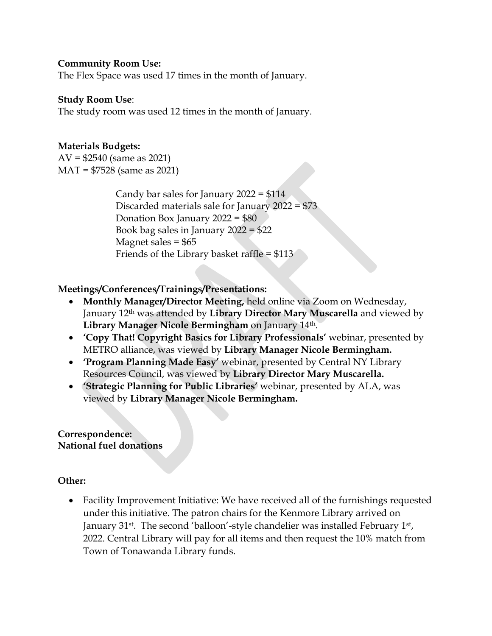#### **Community Room Use:**

The Flex Space was used 17 times in the month of January.

#### **Study Room Use**:

The study room was used 12 times in the month of January.

#### **Materials Budgets:**

AV = \$2540 (same as 2021) MAT = \$7528 (same as 2021)

> Candy bar sales for January 2022 = \$114 Discarded materials sale for January 2022 = \$73 Donation Box January 2022 = \$80 Book bag sales in January 2022 = \$22 Magnet sales  $=$  \$65 Friends of the Library basket raffle = \$113

#### **Meetings/Conferences/Trainings/Presentations:**

- **Monthly Manager/Director Meeting,** held online via Zoom on Wednesday, January 12th was attended by **Library Director Mary Muscarella** and viewed by **Library Manager Nicole Bermingham** on January 14th.
- **'Copy That! Copyright Basics for Library Professionals'** webinar, presented by METRO alliance, was viewed by **Library Manager Nicole Bermingham.**
- **'Program Planning Made Easy'** webinar, presented by Central NY Library Resources Council, was viewed by **Library Director Mary Muscarella.**
- **'Strategic Planning for Public Libraries'** webinar, presented by ALA, was viewed by **Library Manager Nicole Bermingham.**

#### **Correspondence: National fuel donations**

#### **Other:**

 Facility Improvement Initiative: We have received all of the furnishings requested under this initiative. The patron chairs for the Kenmore Library arrived on January 31<sup>st</sup>. The second 'balloon'-style chandelier was installed February 1<sup>st</sup>, 2022. Central Library will pay for all items and then request the 10% match from Town of Tonawanda Library funds.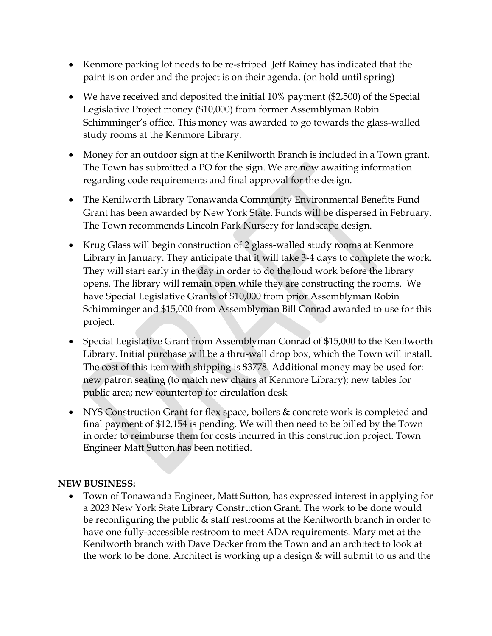- Kenmore parking lot needs to be re-striped. Jeff Rainey has indicated that the paint is on order and the project is on their agenda. (on hold until spring)
- We have received and deposited the initial 10% payment (\$2,500) of the Special Legislative Project money (\$10,000) from former Assemblyman Robin Schimminger's office. This money was awarded to go towards the glass-walled study rooms at the Kenmore Library.
- Money for an outdoor sign at the Kenilworth Branch is included in a Town grant. The Town has submitted a PO for the sign. We are now awaiting information regarding code requirements and final approval for the design.
- The Kenilworth Library Tonawanda Community Environmental Benefits Fund Grant has been awarded by New York State. Funds will be dispersed in February. The Town recommends Lincoln Park Nursery for landscape design.
- Krug Glass will begin construction of 2 glass-walled study rooms at Kenmore Library in January. They anticipate that it will take 3-4 days to complete the work. They will start early in the day in order to do the loud work before the library opens. The library will remain open while they are constructing the rooms. We have Special Legislative Grants of \$10,000 from prior Assemblyman Robin Schimminger and \$15,000 from Assemblyman Bill Conrad awarded to use for this project.
- Special Legislative Grant from Assemblyman Conrad of \$15,000 to the Kenilworth Library. Initial purchase will be a thru-wall drop box, which the Town will install. The cost of this item with shipping is \$3778. Additional money may be used for: new patron seating (to match new chairs at Kenmore Library); new tables for public area; new countertop for circulation desk
- NYS Construction Grant for flex space, boilers & concrete work is completed and final payment of \$12,154 is pending. We will then need to be billed by the Town in order to reimburse them for costs incurred in this construction project. Town Engineer Matt Sutton has been notified.

### **NEW BUSINESS:**

 Town of Tonawanda Engineer, Matt Sutton, has expressed interest in applying for a 2023 New York State Library Construction Grant. The work to be done would be reconfiguring the public & staff restrooms at the Kenilworth branch in order to have one fully-accessible restroom to meet ADA requirements. Mary met at the Kenilworth branch with Dave Decker from the Town and an architect to look at the work to be done. Architect is working up a design & will submit to us and the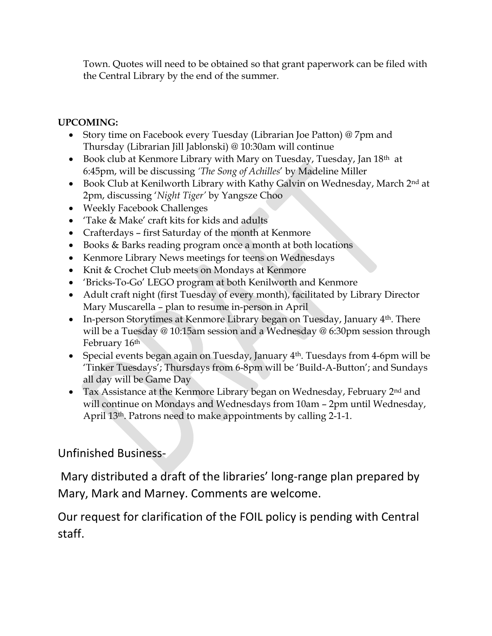Town. Quotes will need to be obtained so that grant paperwork can be filed with the Central Library by the end of the summer.

# **UPCOMING:**

- Story time on Facebook every Tuesday (Librarian Joe Patton) @ 7pm and Thursday (Librarian Jill Jablonski) @ 10:30am will continue
- Book club at Kenmore Library with Mary on Tuesday, Tuesday, Jan 18<sup>th</sup> at 6:45pm, will be discussing *'The Song of Achilles*' by Madeline Miller
- Book Club at Kenilworth Library with Kathy Galvin on Wednesday, March 2<sup>nd</sup> at 2pm, discussing '*Night Tiger'* by Yangsze Choo
- Weekly Facebook Challenges
- 'Take & Make' craft kits for kids and adults
- Crafterdays first Saturday of the month at Kenmore
- Books & Barks reading program once a month at both locations
- Kenmore Library News meetings for teens on Wednesdays
- Knit & Crochet Club meets on Mondays at Kenmore
- 'Bricks-To-Go' LEGO program at both Kenilworth and Kenmore
- Adult craft night (first Tuesday of every month), facilitated by Library Director Mary Muscarella – plan to resume in-person in April
- In-person Storytimes at Kenmore Library began on Tuesday, January  $4<sup>th</sup>$ . There will be a Tuesday @ 10:15am session and a Wednesday @ 6:30pm session through February 16th
- Special events began again on Tuesday, January  $4<sup>th</sup>$ . Tuesdays from 4-6pm will be 'Tinker Tuesdays'; Thursdays from 6-8pm will be 'Build-A-Button'; and Sundays all day will be Game Day
- Tax Assistance at the Kenmore Library began on Wednesday, February 2<sup>nd</sup> and will continue on Mondays and Wednesdays from 10am – 2pm until Wednesday, April 13<sup>th</sup>. Patrons need to make appointments by calling 2-1-1.

# Unfinished Business-

Mary distributed a draft of the libraries' long-range plan prepared by Mary, Mark and Marney. Comments are welcome.

Our request for clarification of the FOIL policy is pending with Central staff.